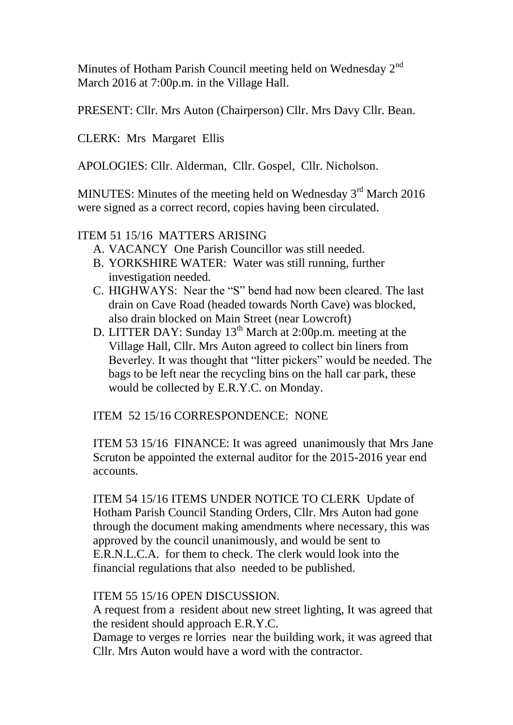Minutes of Hotham Parish Council meeting held on Wednesday 2<sup>nd</sup> March 2016 at 7:00p.m. in the Village Hall.

PRESENT: Cllr. Mrs Auton (Chairperson) Cllr. Mrs Davy Cllr. Bean.

CLERK: Mrs Margaret Ellis

APOLOGIES: Cllr. Alderman, Cllr. Gospel, Cllr. Nicholson.

MINUTES: Minutes of the meeting held on Wednesday  $3<sup>rd</sup>$  March 2016 were signed as a correct record, copies having been circulated.

## ITEM 51 15/16 MATTERS ARISING

- A. VACANCY One Parish Councillor was still needed.
- B. YORKSHIRE WATER: Water was still running, further investigation needed.
- C. HIGHWAYS: Near the "S" bend had now been cleared. The last drain on Cave Road (headed towards North Cave) was blocked, also drain blocked on Main Street (near Lowcroft)
- D. LITTER DAY: Sunday 13<sup>th</sup> March at 2:00p.m. meeting at the Village Hall, Cllr. Mrs Auton agreed to collect bin liners from Beverley. It was thought that "litter pickers" would be needed. The bags to be left near the recycling bins on the hall car park, these would be collected by E.R.Y.C. on Monday.

ITEM 52 15/16 CORRESPONDENCE: NONE

ITEM 53 15/16 FINANCE: It was agreed unanimously that Mrs Jane Scruton be appointed the external auditor for the 2015-2016 year end accounts.

ITEM 54 15/16 ITEMS UNDER NOTICE TO CLERK Update of Hotham Parish Council Standing Orders, Cllr. Mrs Auton had gone through the document making amendments where necessary, this was approved by the council unanimously, and would be sent to E.R.N.L.C.A. for them to check. The clerk would look into the financial regulations that also needed to be published.

## ITEM 55 15/16 OPEN DISCUSSION.

A request from a resident about new street lighting, It was agreed that the resident should approach E.R.Y.C.

Damage to verges re lorries near the building work, it was agreed that Cllr. Mrs Auton would have a word with the contractor.